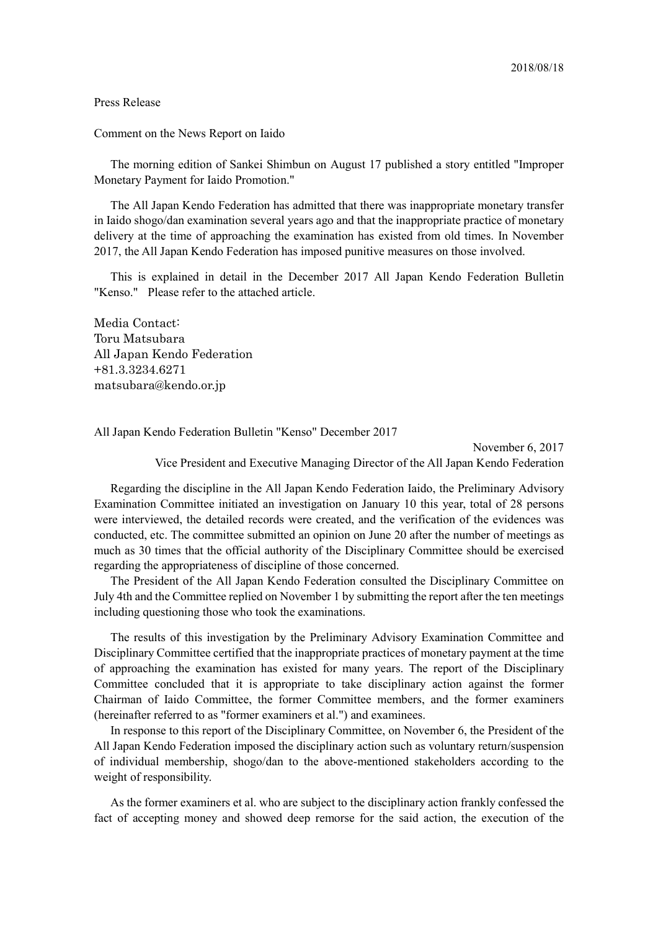## Press Release

Comment on the News Report on Iaido

The morning edition of Sankei Shimbun on August 17 published a story entitled "Improper Monetary Payment for Iaido Promotion."

The All Japan Kendo Federation has admitted that there was inappropriate monetary transfer in Iaido shogo/dan examination several years ago and that the inappropriate practice of monetary delivery at the time of approaching the examination has existed from old times. In November 2017, the All Japan Kendo Federation has imposed punitive measures on those involved.

This is explained in detail in the December 2017 All Japan Kendo Federation Bulletin "Kenso." Please refer to the attached article.

Media Contact: Toru Matsubara All Japan Kendo Federation +81.3.3234.6271 matsubara@kendo.or.jp

All Japan Kendo Federation Bulletin "Kenso" December 2017

November 6, 2017 Vice President and Executive Managing Director of the All Japan Kendo Federation

Regarding the discipline in the All Japan Kendo Federation Iaido, the Preliminary Advisory Examination Committee initiated an investigation on January 10 this year, total of 28 persons were interviewed, the detailed records were created, and the verification of the evidences was conducted, etc. The committee submitted an opinion on June 20 after the number of meetings as much as 30 times that the official authority of the Disciplinary Committee should be exercised regarding the appropriateness of discipline of those concerned.

The President of the All Japan Kendo Federation consulted the Disciplinary Committee on July 4th and the Committee replied on November 1 by submitting the report after the ten meetings including questioning those who took the examinations.

The results of this investigation by the Preliminary Advisory Examination Committee and Disciplinary Committee certified that the inappropriate practices of monetary payment at the time of approaching the examination has existed for many years. The report of the Disciplinary Committee concluded that it is appropriate to take disciplinary action against the former Chairman of Iaido Committee, the former Committee members, and the former examiners (hereinafter referred to as "former examiners et al.") and examinees.

In response to this report of the Disciplinary Committee, on November 6, the President of the All Japan Kendo Federation imposed the disciplinary action such as voluntary return/suspension of individual membership, shogo/dan to the above-mentioned stakeholders according to the weight of responsibility.

As the former examiners et al. who are subject to the disciplinary action frankly confessed the fact of accepting money and showed deep remorse for the said action, the execution of the